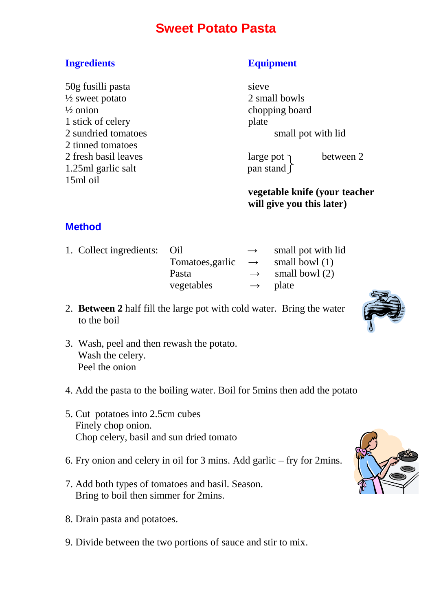## **Sweet Potato Pasta**

### **Ingredients Equipment**

50g fusilli pasta sieve  $\frac{1}{2}$  sweet potato 2 small bowls  $\frac{1}{2}$  onion chopping board 1 stick of celery plate 2 tinned tomatoes 2 fresh basil leaves large pot  $\gamma$  between 2 1.25ml garlic salt pan stand  $\int$ 15ml oil

2 sundried tomatoes small pot with lid

**vegetable knife (your teacher will give you this later)**

### **Method**

- 1. Collect ingredients: Oil  $\rightarrow$  small pot with lid Tomatoes,garlic  $\rightarrow$  small bowl (1) Pasta  $\rightarrow$  small bowl (2) vegetables **→** plate
- 2. **Between 2** half fill the large pot with cold water. Bring the water to the boil
- 3. Wash, peel and then rewash the potato. Wash the celery. Peel the onion
- 4. Add the pasta to the boiling water. Boil for 5mins then add the potato
- 5. Cut potatoes into 2.5cm cubes Finely chop onion. Chop celery, basil and sun dried tomato
- 6. Fry onion and celery in oil for 3 mins. Add garlic fry for 2mins.
- 7. Add both types of tomatoes and basil. Season. Bring to boil then simmer for 2mins.
- 8. Drain pasta and potatoes.
- 9. Divide between the two portions of sauce and stir to mix.



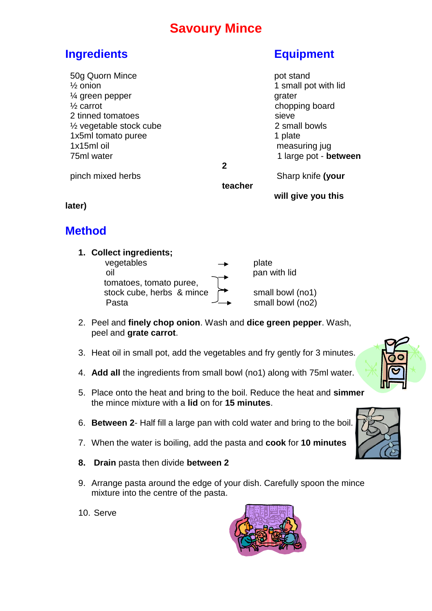## **Savoury Mince**

## **Ingredients Equipment**

| 50g Quorn Mince<br>$\frac{1}{2}$ onion<br>$\frac{1}{4}$ green pepper<br>$\frac{1}{2}$ carrot<br>2 tinned tomatoes |   | pot stand<br>1 small pot with lid<br>grater<br>chopping board<br>sieve |
|-------------------------------------------------------------------------------------------------------------------|---|------------------------------------------------------------------------|
| $\frac{1}{2}$ vegetable stock cube<br>1x5ml tomato puree<br>1x15ml oil<br>75ml water                              |   | 2 small bowls<br>1 plate<br>measuring jug<br>1 large pot - between     |
| pinch mixed herbs                                                                                                 | 2 | Sharp knife (your                                                      |

**teacher** 

**will give you this** 

**later)**

## **Method**

**1. Collect ingredients;**   $veq$ edetables  $\rightarrow$  plate oil pan with lid tomatoes, tomato puree, stock cube, herbs & mince  $\rightarrow$  small bowl (no1) Pasta  $\overline{\phantom{a}}$  small bowl (no2)

2. Peel and **finely chop onion**. Wash and **dice green pepper**. Wash, peel and **grate carrot**.

- 3. Heat oil in small pot, add the vegetables and fry gently for 3 minutes.
- 4. **Add all** the ingredients from small bowl (no1) along with 75ml water.
- 5. Place onto the heat and bring to the boil. Reduce the heat and **simmer** the mince mixture with a **lid** on for **15 minutes**.
- 6. **Between 2** Half fill a large pan with cold water and bring to the boil.
- 7. When the water is boiling, add the pasta and **cook** for **10 minutes**
- **8. Drain** pasta then divide **between 2**
- 9. Arrange pasta around the edge of your dish. Carefully spoon the mince mixture into the centre of the pasta.
- 10. Serve





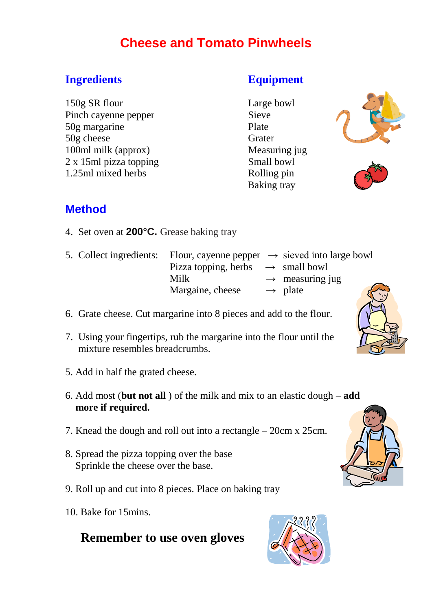# **Cheese and Tomato Pinwheels**

### **Ingredients Equipment**

150g SR flour Large bowl Pinch cayenne pepper Sieve 50g margarine Plate 50g cheese Grater 100ml milk (approx) Measuring jug 2 x 15ml pizza topping Small bowl 1.25ml mixed herbs Rolling pin

Baking tray





## **Method**

4. Set oven at **200°C.** Grease baking tray

| 5. Collect ingredients: Flour, cayenne pepper $\rightarrow$ sieved into large bowl |                                               |                             |
|------------------------------------------------------------------------------------|-----------------------------------------------|-----------------------------|
|                                                                                    | Pizza topping, herbs $\rightarrow$ small bowl |                             |
|                                                                                    | Milk                                          | $\rightarrow$ measuring jug |
|                                                                                    | Margaine, cheese                              | ξ<br>$\rightarrow$ plate    |

- 6. Grate cheese. Cut margarine into 8 pieces and add to the flour.
- 7. Using your fingertips, rub the margarine into the flour until the mixture resembles breadcrumbs.
- 5. Add in half the grated cheese.
- 6. Add most (**but not all** ) of the milk and mix to an elastic dough **add more if required.**
- 7. Knead the dough and roll out into a rectangle 20cm x 25cm.
- 8. Spread the pizza topping over the base Sprinkle the cheese over the base.
- 9. Roll up and cut into 8 pieces. Place on baking tray
- 10. Bake for 15mins.

## **Remember to use oven gloves**





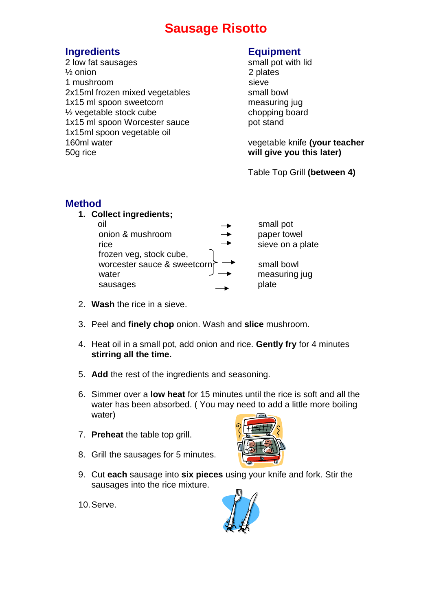## **Sausage Risotto**

### **Ingredients Equipment**

2 low fat sausages small pot with lid  $\frac{1}{2}$  onion 2 plates 1 mushroom sieve 2x15ml frozen mixed vegetables small bowl 1x15 ml spoon sweetcorn measuring jug <sup>1/2</sup> vegetable stock cube chopping board 1x15 ml spoon Worcester sauce pot stand 1x15ml spoon vegetable oil 160ml water vegetable knife **(your teacher** 50g rice **will give you this later)**

Table Top Grill **(between 4)**

### **Method**

**1. Collect ingredients;** 

| oil                         | small pot        |
|-----------------------------|------------------|
| onion & mushroom            | paper towel      |
| rice                        | sieve on a plate |
| frozen veg, stock cube,     |                  |
| worcester sauce & sweetcorn | small bowl       |
| water                       | measuring jug    |
| sausages                    | plate            |
|                             |                  |

- 2. **Wash** the rice in a sieve.
- 3. Peel and **finely chop** onion. Wash and **slice** mushroom.
- 4. Heat oil in a small pot, add onion and rice. **Gently fry** for 4 minutes **stirring all the time.**
- 5. **Add** the rest of the ingredients and seasoning.
- 6. Simmer over a **low heat** for 15 minutes until the rice is soft and all the water has been absorbed. ( You may need to add a little more boiling water)
- 7. **Preheat** the table top grill.
- 8. Grill the sausages for 5 minutes.
- 9. Cut **each** sausage into **six pieces** using your knife and fork. Stir the sausages into the rice mixture.
- 10.Serve.



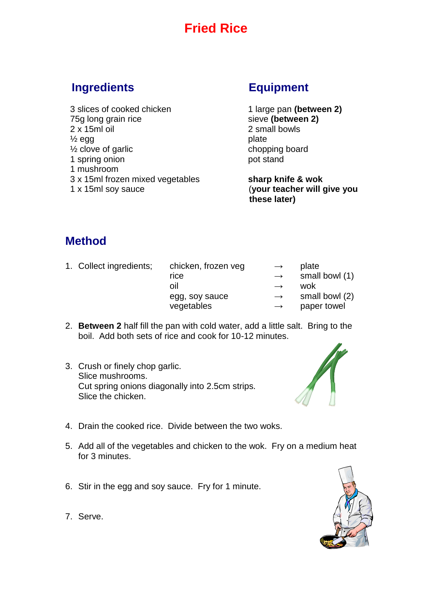# **Fried Rice**

### **Ingredients Equipment**

 3 slices of cooked chicken 1 large pan **(between 2)** 75g long grain rice sieve (between 2) 2 x 15ml oil 2 small bowls  $\frac{1}{2}$  egg plate  $\frac{1}{2}$  clove of garlic chopping board 1 spring onion pot stand 1 mushroom 3 x 15ml frozen mixed vegetables **sharp knife & wok** 1 x 15ml soy sauce (**your teacher will give you** 

 **these later)**

### **Method**

- 1. Collect ingredients: chicken, frozen veg  $\rightarrow$  plate rice  $\rightarrow$  small bowl (1)  $\overrightarrow{O}$ il  $\rightarrow$  wok egg, soy sauce  $\rightarrow$  small bowl (2) vegetables → paper towel
- 2. **Between 2** half fill the pan with cold water, add a little salt. Bring to the boil. Add both sets of rice and cook for 10-12 minutes.
- 3. Crush or finely chop garlic. Slice mushrooms. Cut spring onions diagonally into 2.5cm strips. Slice the chicken.



- 4. Drain the cooked rice. Divide between the two woks.
- 5. Add all of the vegetables and chicken to the wok. Fry on a medium heat for 3 minutes.
- 6. Stir in the egg and soy sauce. Fry for 1 minute.



7. Serve.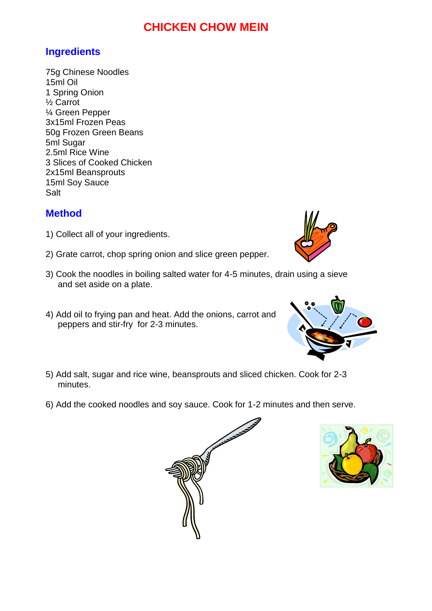### **CHICKEN CHOW MEIN**

### **Ingredients**

75g Chinese Noodles 15ml Oil 1 Spring Onion ½ Carrot ¼ Green Pepper 3x15ml Frozen Peas 50g Frozen Green Beans 5ml Sugar 2.5ml Rice Wine 3 Slices of Cooked Chicken 2x15ml Beansprouts 15ml Soy Sauce **Salt** 

### **Method**

- 1) Collect all of your ingredients.
- 2) Grate carrot, chop spring onion and slice green pepper.
- 3) Cook the noodles in boiling salted water for 4-5 minutes, drain using a sieve and set aside on a plate.
- 4) Add oil to frying pan and heat. Add the onions, carrot and peppers and stir-fry for 2-3 minutes.
- 5) Add salt, sugar and rice wine, beansprouts and sliced chicken. Cook for 2-3 minutes.
- 6) Add the cooked noodles and soy sauce. Cook for 1-2 minutes and then serve.